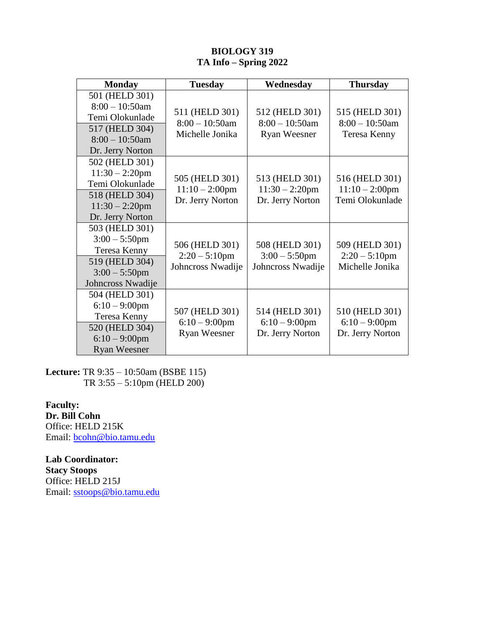## **BIOLOGY 319 TA Info – Spring 2022**

| <b>Monday</b>                                                                                                     | <b>Tuesday</b>                                          | Wednesday                                                  | <b>Thursday</b>                                        |
|-------------------------------------------------------------------------------------------------------------------|---------------------------------------------------------|------------------------------------------------------------|--------------------------------------------------------|
| 501 (HELD 301)<br>$8:00 - 10:50$ am<br>Temi Olokunlade<br>517 (HELD 304)<br>$8:00 - 10:50$ am<br>Dr. Jerry Norton | 511 (HELD 301)<br>$8:00 - 10:50$ am<br>Michelle Jonika  | 512 (HELD 301)<br>$8:00 - 10:50$ am<br><b>Ryan Weesner</b> | 515 (HELD 301)<br>$8:00 - 10:50$ am<br>Teresa Kenny    |
| 502 (HELD 301)<br>$11:30 - 2:20$ pm<br>Temi Olokunlade<br>518 (HELD 304)<br>$11:30 - 2:20$ pm<br>Dr. Jerry Norton | 505 (HELD 301)<br>$11:10 - 2:00$ pm<br>Dr. Jerry Norton | 513 (HELD 301)<br>$11:30 - 2:20$ pm<br>Dr. Jerry Norton    | 516 (HELD 301)<br>$11:10 - 2:00$ pm<br>Temi Olokunlade |
| 503 (HELD 301)<br>$3:00 - 5:50$ pm<br>Teresa Kenny<br>519 (HELD 304)<br>$3:00 - 5:50$ pm<br>Johncross Nwadije     | 506 (HELD 301)<br>$2:20 - 5:10$ pm<br>Johncross Nwadije | 508 (HELD 301)<br>$3:00 - 5:50$ pm<br>Johncross Nwadije    | 509 (HELD 301)<br>$2:20 - 5:10$ pm<br>Michelle Jonika  |
| 504 (HELD 301)<br>$6:10-9:00$ pm<br>Teresa Kenny<br>520 (HELD 304)<br>$6:10-9:00$ pm<br><b>Ryan Weesner</b>       | 507 (HELD 301)<br>$6:10-9:00$ pm<br><b>Ryan Weesner</b> | 514 (HELD 301)<br>$6:10-9:00$ pm<br>Dr. Jerry Norton       | 510 (HELD 301)<br>$6:10-9:00$ pm<br>Dr. Jerry Norton   |

**Lecture:** TR 9:35 – 10:50am (BSBE 115) TR 3:55 – 5:10pm (HELD 200)

**Faculty: Dr. Bill Cohn** Office: HELD 215K Email: [bcohn@bio.tamu.edu](mailto:bcohn@bio.tamu.edu)

**Lab Coordinator: Stacy Stoops** Office: HELD 215J Email: [sstoops@bio.tamu.edu](mailto:sstoops@mail.bio.tamu.edu)